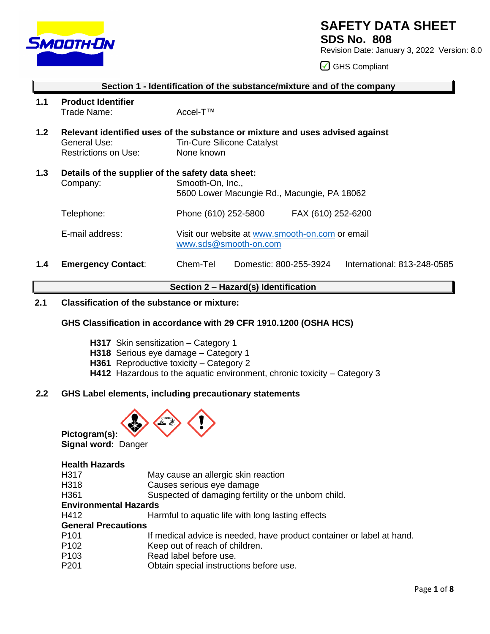

# **SAFETY DATA SHEET**

**SDS No. 808**

Revision Date: January 3, 2022 Version: 8.0

GHS Compliant

| 1.1 | <b>Product Identifier</b><br>Trade Name:                      | Accel-T™                                                                                                                         |  |
|-----|---------------------------------------------------------------|----------------------------------------------------------------------------------------------------------------------------------|--|
| 1.2 | General Use:<br>Restrictions on Use:                          | Relevant identified uses of the substance or mixture and uses advised against<br><b>Tin-Cure Silicone Catalyst</b><br>None known |  |
| 1.3 | Details of the supplier of the safety data sheet:<br>Company: | Smooth-On, Inc.,<br>5600 Lower Macungie Rd., Macungie, PA 18062                                                                  |  |
|     | Telephone:                                                    | Phone (610) 252-5800<br>FAX (610) 252-6200                                                                                       |  |
|     | E-mail address:                                               | Visit our website at www.smooth-on.com or email<br>www.sds@smooth-on.com                                                         |  |
| 1.4 | <b>Emergency Contact:</b>                                     | Chem-Tel<br>Domestic: 800-255-3924<br>International: 813-248-0585                                                                |  |

**Section 1 - Identification of the substance/mixture and of the company**

## **Section 2 – Hazard(s) Identification**

## **2.1 Classification of the substance or mixture:**

## **GHS Classification in accordance with 29 CFR 1910.1200 (OSHA HCS)**

- **H317** Skin sensitization Category 1
- **H318** Serious eye damage Category 1
- **H361** Reproductive toxicity Category 2
- **H412** Hazardous to the aquatic environment, chronic toxicity Category 3

## **2.2 GHS Label elements, including precautionary statements**



**Pictogram(s): Signal word:** Danger

## **Health Hazards**

| H317                         | May cause an allergic skin reaction                                   |
|------------------------------|-----------------------------------------------------------------------|
| H318                         | Causes serious eye damage                                             |
| H361                         | Suspected of damaging fertility or the unborn child.                  |
| <b>Environmental Hazards</b> |                                                                       |
| H412                         | Harmful to aquatic life with long lasting effects                     |
| <b>General Precautions</b>   |                                                                       |
| P <sub>101</sub>             | If medical advice is needed, have product container or label at hand. |
| P <sub>102</sub>             | Keep out of reach of children.                                        |
| P <sub>103</sub>             | Read label before use.                                                |
| P <sub>201</sub>             | Obtain special instructions before use.                               |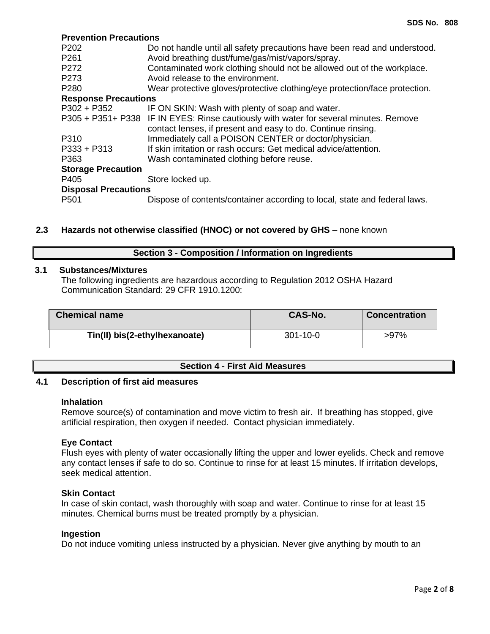## **Prevention Precautions**

| P <sub>202</sub>            | Do not handle until all safety precautions have been read and understood.             |
|-----------------------------|---------------------------------------------------------------------------------------|
| P261                        | Avoid breathing dust/fume/gas/mist/vapors/spray.                                      |
| P272                        | Contaminated work clothing should not be allowed out of the workplace.                |
| P273                        | Avoid release to the environment.                                                     |
| P <sub>280</sub>            | Wear protective gloves/protective clothing/eye protection/face protection.            |
| <b>Response Precautions</b> |                                                                                       |
| $P302 + P352$               | IF ON SKIN: Wash with plenty of soap and water.                                       |
|                             | P305 + P351+ P338 IF IN EYES: Rinse cautiously with water for several minutes. Remove |
|                             | contact lenses, if present and easy to do. Continue rinsing.                          |
| P310                        | Immediately call a POISON CENTER or doctor/physician.                                 |
| $P333 + P313$               | If skin irritation or rash occurs: Get medical advice/attention.                      |
| P363                        | Wash contaminated clothing before reuse.                                              |
| <b>Storage Precaution</b>   |                                                                                       |
| P405                        | Store locked up.                                                                      |
| <b>Disposal Precautions</b> |                                                                                       |
| P <sub>501</sub>            | Dispose of contents/container according to local, state and federal laws.             |
|                             |                                                                                       |

## **2.3 Hazards not otherwise classified (HNOC) or not covered by GHS** – none known

#### **Section 3 - Composition / Information on Ingredients**

#### **3.1 Substances/Mixtures**

The following ingredients are hazardous according to Regulation 2012 OSHA Hazard Communication Standard: 29 CFR 1910.1200:

| <b>Chemical name</b>          | <b>CAS-No.</b> | <b>Concentration</b> |
|-------------------------------|----------------|----------------------|
| Tin(II) bis(2-ethylhexanoate) | $301 - 10 - 0$ | $>97\%$              |

## **Section 4 - First Aid Measures**

#### **4.1 Description of first aid measures**

#### **Inhalation**

Remove source(s) of contamination and move victim to fresh air. If breathing has stopped, give artificial respiration, then oxygen if needed. Contact physician immediately.

#### **Eye Contact**

Flush eyes with plenty of water occasionally lifting the upper and lower eyelids. Check and remove any contact lenses if safe to do so. Continue to rinse for at least 15 minutes. If irritation develops, seek medical attention.

## **Skin Contact**

In case of skin contact, wash thoroughly with soap and water. Continue to rinse for at least 15 minutes. Chemical burns must be treated promptly by a physician.

## **Ingestion**

Do not induce vomiting unless instructed by a physician. Never give anything by mouth to an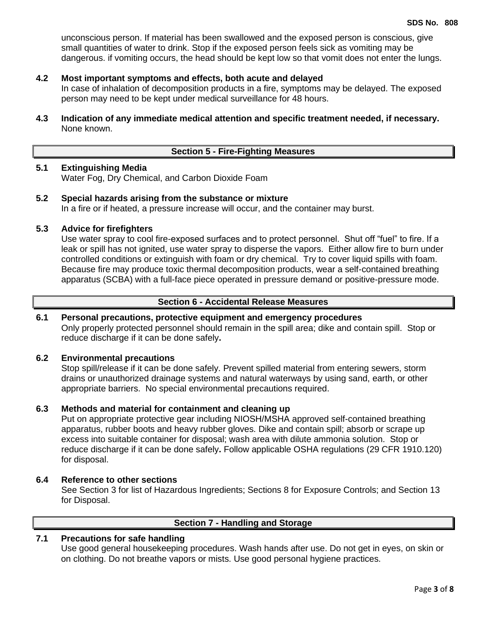unconscious person. If material has been swallowed and the exposed person is conscious, give small quantities of water to drink. Stop if the exposed person feels sick as vomiting may be dangerous. if vomiting occurs, the head should be kept low so that vomit does not enter the lungs.

#### **4.2 Most important symptoms and effects, both acute and delayed**

In case of inhalation of decomposition products in a fire, symptoms may be delayed. The exposed person may need to be kept under medical surveillance for 48 hours.

**4.3 Indication of any immediate medical attention and specific treatment needed, if necessary.** None known.

## **Section 5 - Fire-Fighting Measures**

## **5.1 Extinguishing Media**

Water Fog, Dry Chemical, and Carbon Dioxide Foam

## **5.2 Special hazards arising from the substance or mixture**

In a fire or if heated, a pressure increase will occur, and the container may burst.

## **5.3 Advice for firefighters**

Use water spray to cool fire-exposed surfaces and to protect personnel. Shut off "fuel" to fire. If a leak or spill has not ignited, use water spray to disperse the vapors. Either allow fire to burn under controlled conditions or extinguish with foam or dry chemical. Try to cover liquid spills with foam. Because fire may produce toxic thermal decomposition products, wear a self-contained breathing apparatus (SCBA) with a full-face piece operated in pressure demand or positive-pressure mode.

## **Section 6 - Accidental Release Measures**

## **6.1 Personal precautions, protective equipment and emergency procedures**

Only properly protected personnel should remain in the spill area; dike and contain spill. Stop or reduce discharge if it can be done safely**.**

#### **6.2 Environmental precautions**

Stop spill/release if it can be done safely. Prevent spilled material from entering sewers, storm drains or unauthorized drainage systems and natural waterways by using sand, earth, or other appropriate barriers.No special environmental precautions required.

## **6.3 Methods and material for containment and cleaning up**

Put on appropriate protective gear including NIOSH/MSHA approved self-contained breathing apparatus, rubber boots and heavy rubber gloves. Dike and contain spill; absorb or scrape up excess into suitable container for disposal; wash area with dilute ammonia solution. Stop or reduce discharge if it can be done safely**.** Follow applicable OSHA regulations (29 CFR 1910.120) for disposal.

## **6.4 Reference to other sections**

See Section 3 for list of Hazardous Ingredients; Sections 8 for Exposure Controls; and Section 13 for Disposal.

## **Section 7 - Handling and Storage**

## **7.1 Precautions for safe handling**

Use good general housekeeping procedures. Wash hands after use. Do not get in eyes, on skin or on clothing. Do not breathe vapors or mists. Use good personal hygiene practices.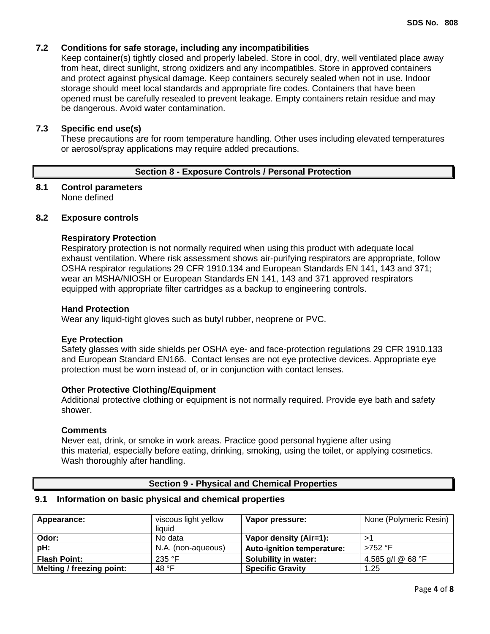## **7.2 Conditions for safe storage, including any incompatibilities**

Keep container(s) tightly closed and properly labeled. Store in cool, dry, well ventilated place away from heat, direct sunlight, strong oxidizers and any incompatibles. Store in approved containers and protect against physical damage. Keep containers securely sealed when not in use. Indoor storage should meet local standards and appropriate fire codes. Containers that have been opened must be carefully resealed to prevent leakage. Empty containers retain residue and may be dangerous. Avoid water contamination.

#### **7.3 Specific end use(s)**

These precautions are for room temperature handling. Other uses including elevated temperatures or aerosol/spray applications may require added precautions.

#### **Section 8 - Exposure Controls / Personal Protection**

#### **8.1 Control parameters** None defined

## **8.2 Exposure controls**

#### **Respiratory Protection**

Respiratory protection is not normally required when using this product with adequate local exhaust ventilation. Where risk assessment shows air-purifying respirators are appropriate, follow OSHA respirator regulations 29 CFR 1910.134 and European Standards EN 141, 143 and 371; wear an MSHA/NIOSH or European Standards EN 141, 143 and 371 approved respirators equipped with appropriate filter cartridges as a backup to engineering controls.

#### **Hand Protection**

Wear any liquid-tight gloves such as butyl rubber, neoprene or PVC.

#### **Eye Protection**

Safety glasses with side shields per OSHA eye- and face-protection regulations 29 CFR 1910.133 and European Standard EN166. Contact lenses are not eye protective devices. Appropriate eye protection must be worn instead of, or in conjunction with contact lenses.

## **Other Protective Clothing/Equipment**

Additional protective clothing or equipment is not normally required. Provide eye bath and safety shower.

#### **Comments**

Never eat, drink, or smoke in work areas. Practice good personal hygiene after using this material, especially before eating, drinking, smoking, using the toilet, or applying cosmetics. Wash thoroughly after handling.

#### **Section 9 - Physical and Chemical Properties**

#### **9.1 Information on basic physical and chemical properties**

| Appearance:                      | viscous light yellow<br>liauid | Vapor pressure:                   | None (Polymeric Resin) |
|----------------------------------|--------------------------------|-----------------------------------|------------------------|
| Odor:                            | No data                        | Vapor density (Air=1):            |                        |
| pH:                              | N.A. (non-aqueous)             | <b>Auto-ignition temperature:</b> | $>752$ °F              |
| <b>Flash Point:</b>              | 235 $\degree$ F                | Solubility in water:              | 4.585 g/l @ 68 °F      |
| <b>Melting / freezing point:</b> | 48 °F                          | <b>Specific Gravity</b>           | 1.25                   |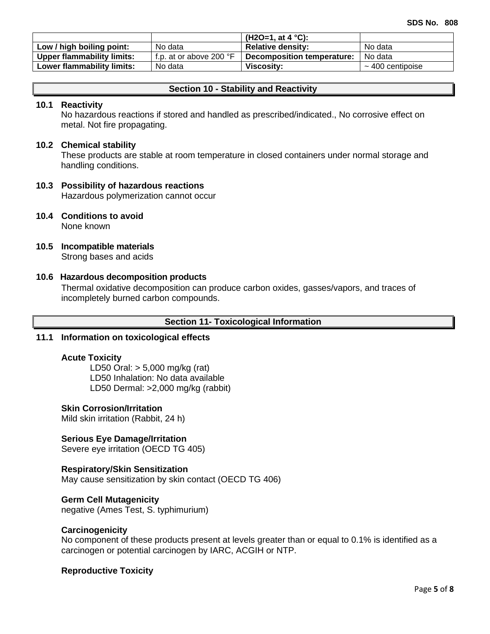|                                   |                                  | (H2O=1, at 4 $^{\circ}$ C): |                       |
|-----------------------------------|----------------------------------|-----------------------------|-----------------------|
| Low / high boiling point:         | No data                          | <b>Relative density:</b>    | No data               |
| <b>Upper flammability limits:</b> | f.p. at or above 200 $\degree$ F | Decomposition temperature:  | No data               |
| Lower flammability limits:        | No data                          | Viscositv:                  | $\sim$ 400 centipoise |

## **Section 10 - Stability and Reactivity**

#### **10.1 Reactivity**

No hazardous reactions if stored and handled as prescribed/indicated., No corrosive effect on metal. Not fire propagating.

#### **10.2 Chemical stability**

These products are stable at room temperature in closed containers under normal storage and handling conditions.

## **10.3 Possibility of hazardous reactions**

Hazardous polymerization cannot occur

- **10.4 Conditions to avoid** None known
- **10.5 Incompatible materials** Strong bases and acids

#### **10.6 Hazardous decomposition products**

Thermal oxidative decomposition can produce carbon oxides, gasses/vapors, and traces of incompletely burned carbon compounds.

## **Section 11- Toxicological Information**

## **11.1 Information on toxicological effects**

#### **Acute Toxicity**

LD50 Oral: > 5,000 mg/kg (rat) LD50 Inhalation: No data available LD50 Dermal: >2,000 mg/kg (rabbit)

#### **Skin Corrosion/Irritation**

Mild skin irritation (Rabbit, 24 h)

## **Serious Eye Damage/Irritation**

Severe eye irritation (OECD TG 405)

#### **Respiratory/Skin Sensitization**

May cause sensitization by skin contact (OECD TG 406)

#### **Germ Cell Mutagenicity**

negative (Ames Test, S. typhimurium)

#### **Carcinogenicity**

No component of these products present at levels greater than or equal to 0.1% is identified as a carcinogen or potential carcinogen by IARC, ACGIH or NTP.

#### **Reproductive Toxicity**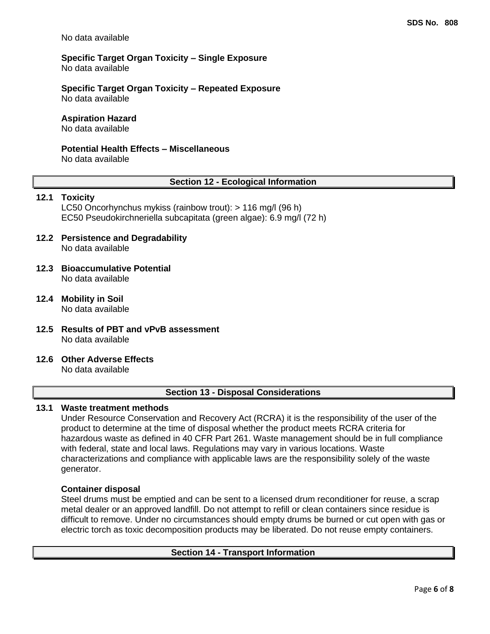No data available

## **Specific Target Organ Toxicity – Single Exposure** No data available

**Specific Target Organ Toxicity – Repeated Exposure** No data available

## **Aspiration Hazard**

No data available

## **Potential Health Effects – Miscellaneous**

No data available

#### **Section 12 - Ecological Information**

## **12.1 Toxicity**

LC50 Oncorhynchus mykiss (rainbow trout): > 116 mg/l (96 h) EC50 Pseudokirchneriella subcapitata (green algae): 6.9 mg/l (72 h)

- **12.2 Persistence and Degradability** No data available
- **12.3 Bioaccumulative Potential** No data available
- **12.4 Mobility in Soil** No data available
- **12.5 Results of PBT and vPvB assessment** No data available
- **12.6 Other Adverse Effects**

No data available

## **Section 13 - Disposal Considerations**

## **13.1 Waste treatment methods**

Under Resource Conservation and Recovery Act (RCRA) it is the responsibility of the user of the product to determine at the time of disposal whether the product meets RCRA criteria for hazardous waste as defined in 40 CFR Part 261. Waste management should be in full compliance with federal, state and local laws. Regulations may vary in various locations. Waste characterizations and compliance with applicable laws are the responsibility solely of the waste generator.

#### **Container disposal**

Steel drums must be emptied and can be sent to a licensed drum reconditioner for reuse, a scrap metal dealer or an approved landfill. Do not attempt to refill or clean containers since residue is difficult to remove. Under no circumstances should empty drums be burned or cut open with gas or electric torch as toxic decomposition products may be liberated. Do not reuse empty containers.

## **Section 14 - Transport Information**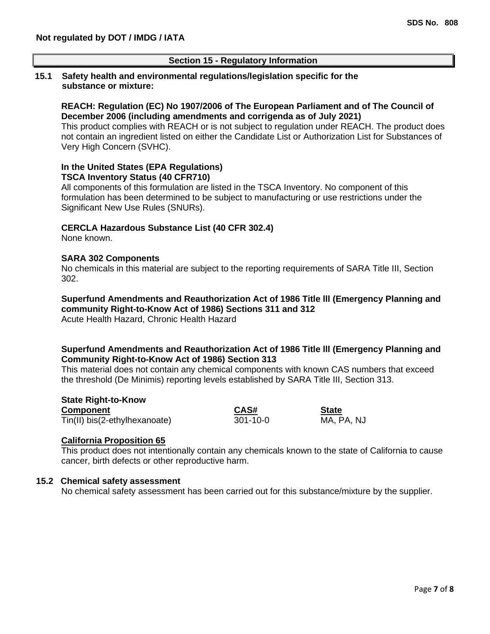## **Section 15 - Regulatory Information**

#### **15.1 Safety health and environmental regulations/legislation specific for the substance or mixture:**

#### **REACH: Regulation (EC) No 1907/2006 of The European Parliament and of The Council of December 2006 (including amendments and corrigenda as of July 2021)**

This product complies with REACH or is not subject to regulation under REACH. The product does not contain an ingredient listed on either the Candidate List or Authorization List for Substances of Very High Concern (SVHC).

#### **In the United States (EPA Regulations) TSCA Inventory Status (40 CFR710)**

All components of this formulation are listed in the TSCA Inventory. No component of this formulation has been determined to be subject to manufacturing or use restrictions under the Significant New Use Rules (SNURs).

#### **CERCLA Hazardous Substance List (40 CFR 302.4)**

None known.

#### **SARA 302 Components**

No chemicals in this material are subject to the reporting requirements of SARA Title III, Section 302.

## **Superfund Amendments and Reauthorization Act of 1986 Title lll (Emergency Planning and community Right-to-Know Act of 1986) Sections 311 and 312**

Acute Health Hazard, Chronic Health Hazard

## **Superfund Amendments and Reauthorization Act of 1986 Title lll (Emergency Planning and Community Right-to-Know Act of 1986) Section 313**

This material does not contain any chemical components with known CAS numbers that exceed the threshold (De Minimis) reporting levels established by SARA Title III, Section 313.

**State Right-to-Know Component CAS# State** Tin(II) bis(2-ethylhexanoate)

## **California Proposition 65**

This product does not intentionally contain any chemicals known to the state of California to cause cancer, birth defects or other reproductive harm.

#### **15.2 Chemical safety assessment**

No chemical safety assessment has been carried out for this substance/mixture by the supplier.